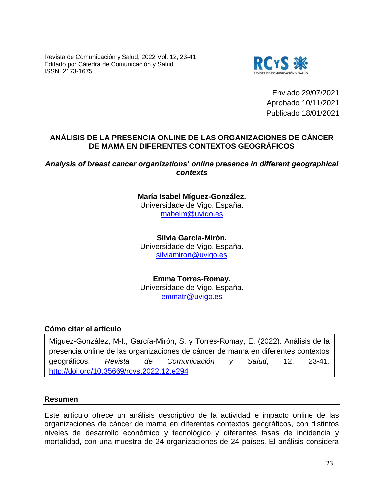Revista de Comunicación y Salud, 2022 Vol. 12, 23-41 Editado por Cátedra de Comunicación y Salud ISSN: 2173-1675



Enviado 29/07/2021 Aprobado 10/11/2021 Publicado 18/01/2021

# **ANÁLISIS DE LA PRESENCIA ONLINE DE LAS ORGANIZACIONES DE CÁNCER DE MAMA EN DIFERENTES CONTEXTOS GEOGRÁFICOS**

## *Analysis of breast cancer organizations' online presence in different geographical contexts*

**María Isabel Míguez-González.** Universidade de Vigo. España. [mabelm@uvigo.es](mailto:mabelm@uvigo.es)

**Silvia García-Mirón.** Universidade de Vigo. España. [silviamiron@uvigo.es](mailto:silviamiron@uvigo.es)

**Emma Torres-Romay.** Universidade de Vigo. España. [emmatr@uvigo.es](mailto:emmatr@uvigo.es)

# **Cómo citar el artículo**

Míguez-González, M-I., García-Mirón, S. y Torres-Romay, E. (2022). Análisis de la presencia online de las organizaciones de cáncer de mama en diferentes contextos geográficos. *Revista de Comunicación y Salud*, 12, 23-41. <http://doi.org/10.35669/rcys.2022.12.e294>

## **Resumen**

Este artículo ofrece un análisis descriptivo de la actividad e impacto online de las organizaciones de cáncer de mama en diferentes contextos geográficos, con distintos niveles de desarrollo económico y tecnológico y diferentes tasas de incidencia y mortalidad, con una muestra de 24 organizaciones de 24 países. El análisis considera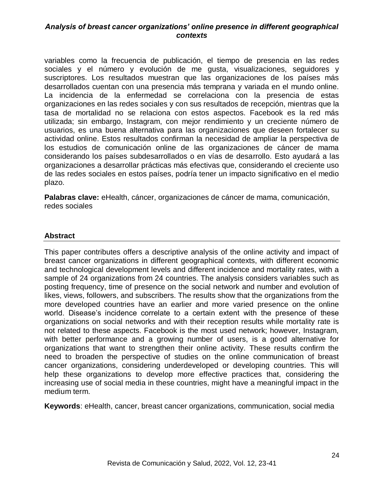variables como la frecuencia de publicación, el tiempo de presencia en las redes sociales y el número y evolución de me gusta, visualizaciones, seguidores y suscriptores. Los resultados muestran que las organizaciones de los países más desarrollados cuentan con una presencia más temprana y variada en el mundo online. La incidencia de la enfermedad se correlaciona con la presencia de estas organizaciones en las redes sociales y con sus resultados de recepción, mientras que la tasa de mortalidad no se relaciona con estos aspectos. Facebook es la red más utilizada; sin embargo, Instagram, con mejor rendimiento y un creciente número de usuarios, es una buena alternativa para las organizaciones que deseen fortalecer su actividad online. Estos resultados confirman la necesidad de ampliar la perspectiva de los estudios de comunicación online de las organizaciones de cáncer de mama considerando los países subdesarrollados o en vías de desarrollo. Esto ayudará a las organizaciones a desarrollar prácticas más efectivas que, considerando el creciente uso de las redes sociales en estos países, podría tener un impacto significativo en el medio plazo.

**Palabras clave:** eHealth, cáncer, organizaciones de cáncer de mama, comunicación, redes sociales

#### **Abstract**

This paper contributes offers a descriptive analysis of the online activity and impact of breast cancer organizations in different geographical contexts, with different economic and technological development levels and different incidence and mortality rates, with a sample of 24 organizations from 24 countries. The analysis considers variables such as posting frequency, time of presence on the social network and number and evolution of likes, views, followers, and subscribers. The results show that the organizations from the more developed countries have an earlier and more varied presence on the online world. Disease's incidence correlate to a certain extent with the presence of these organizations on social networks and with their reception results while mortality rate is not related to these aspects. Facebook is the most used network; however, Instagram, with better performance and a growing number of users, is a good alternative for organizations that want to strengthen their online activity. These results confirm the need to broaden the perspective of studies on the online communication of breast cancer organizations, considering underdeveloped or developing countries. This will help these organizations to develop more effective practices that, considering the increasing use of social media in these countries, might have a meaningful impact in the medium term.

**Keywords**: eHealth, cancer, breast cancer organizations, communication, social media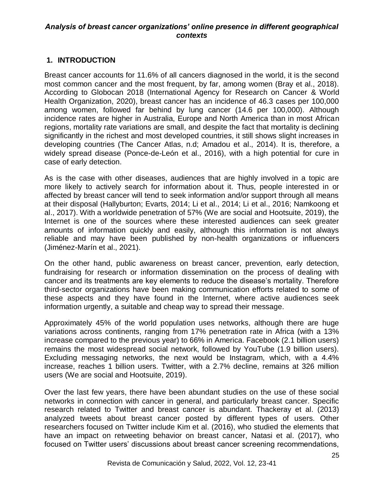# **1. INTRODUCTION**

Breast cancer accounts for 11.6% of all cancers diagnosed in the world, it is the second most common cancer and the most frequent, by far, among women (Bray et al., 2018). According to Globocan 2018 (International Agency for Research on Cancer & World Health Organization, 2020), breast cancer has an incidence of 46.3 cases per 100,000 among women, followed far behind by lung cancer (14.6 per 100,000). Although incidence rates are higher in Australia, Europe and North America than in most African regions, mortality rate variations are small, and despite the fact that mortality is declining significantly in the richest and most developed countries, it still shows slight increases in developing countries (The Cancer Atlas, n.d; Amadou et al., 2014). It is, therefore, a widely spread disease (Ponce-de-León et al., 2016), with a high potential for cure in case of early detection.

As is the case with other diseases, audiences that are highly involved in a topic are more likely to actively search for information about it. Thus, people interested in or affected by breast cancer will tend to seek information and/or support through all means at their disposal (Hallyburton; Evarts, 2014; Li et al., 2014; Li et al., 2016; Namkoong et al., 2017). With a worldwide penetration of 57% (We are social and Hootsuite, 2019), the Internet is one of the sources where these interested audiences can seek greater amounts of information quickly and easily, although this information is not always reliable and may have been published by non-health organizations or influencers (Jiménez-Marín et al., 2021).

On the other hand, public awareness on breast cancer, prevention, early detection, fundraising for research or information dissemination on the process of dealing with cancer and its treatments are key elements to reduce the disease's mortality. Therefore third-sector organizations have been making communication efforts related to some of these aspects and they have found in the Internet, where active audiences seek information urgently, a suitable and cheap way to spread their message.

Approximately 45% of the world population uses networks, although there are huge variations across continents, ranging from 17% penetration rate in Africa (with a 13% increase compared to the previous year) to 66% in America. Facebook (2.1 billion users) remains the most widespread social network, followed by YouTube (1.9 billion users). Excluding messaging networks, the next would be Instagram, which, with a 4.4% increase, reaches 1 billion users. Twitter, with a 2.7% decline, remains at 326 million users (We are social and Hootsuite, 2019).

Over the last few years, there have been abundant studies on the use of these social networks in connection with cancer in general, and particularly breast cancer. Specific research related to Twitter and breast cancer is abundant. Thackeray et al. (2013) analyzed tweets about breast cancer posted by different types of users. Other researchers focused on Twitter include Kim et al. (2016), who studied the elements that have an impact on retweeting behavior on breast cancer, Natasi et al. (2017), who focused on Twitter users' discussions about breast cancer screening recommendations,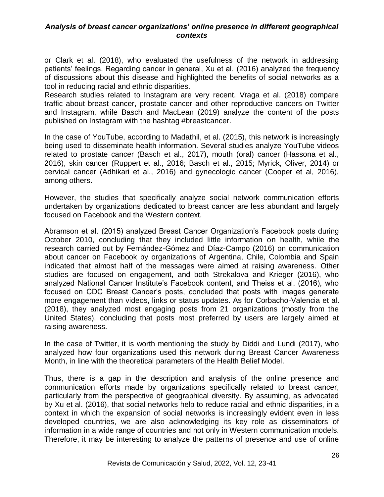or Clark et al. (2018), who evaluated the usefulness of the network in addressing patients' feelings. Regarding cancer in general, Xu et al. (2016) analyzed the frequency of discussions about this disease and highlighted the benefits of social networks as a tool in reducing racial and ethnic disparities.

Research studies related to Instagram are very recent. Vraga et al. (2018) compare traffic about breast cancer, prostate cancer and other reproductive cancers on Twitter and Instagram, while Basch and MacLean (2019) analyze the content of the posts published on Instagram with the hashtag #breastcancer.

In the case of YouTube, according to Madathil, et al. (2015), this network is increasingly being used to disseminate health information. Several studies analyze YouTube videos related to prostate cancer (Basch et al., 2017), mouth (oral) cancer (Hassona et al., 2016), skin cancer (Ruppert et al., 2016; Basch et al., 2015; Myrick, Oliver, 2014) or cervical cancer (Adhikari et al., 2016) and gynecologic cancer (Cooper et al, 2016), among others.

However, the studies that specifically analyze social network communication efforts undertaken by organizations dedicated to breast cancer are less abundant and largely focused on Facebook and the Western context.

Abramson et al. (2015) analyzed Breast Cancer Organization's Facebook posts during October 2010, concluding that they included little information on health, while the research carried out by Fernández-Gómez and Díaz-Campo (2016) on communication about cancer on Facebook by organizations of Argentina, Chile, Colombia and Spain indicated that almost half of the messages were aimed at raising awareness. Other studies are focused on engagement, and both Strekalova and Krieger (2016), who analyzed National Cancer Institute's Facebook content, and Theiss et al. (2016), who focused on CDC Breast Cancer's posts, concluded that posts with images generate more engagement than videos, links or status updates. As for Corbacho-Valencia et al. (2018), they analyzed most engaging posts from 21 organizations (mostly from the United States), concluding that posts most preferred by users are largely aimed at raising awareness.

In the case of Twitter, it is worth mentioning the study by Diddi and Lundi (2017), who analyzed how four organizations used this network during Breast Cancer Awareness Month, in line with the theoretical parameters of the Health Belief Model.

Thus, there is a gap in the description and analysis of the online presence and communication efforts made by organizations specifically related to breast cancer, particularly from the perspective of geographical diversity. By assuming, as advocated by Xu et al. (2016), that social networks help to reduce racial and ethnic disparities, in a context in which the expansion of social networks is increasingly evident even in less developed countries, we are also acknowledging its key role as disseminators of information in a wide range of countries and not only in Western communication models. Therefore, it may be interesting to analyze the patterns of presence and use of online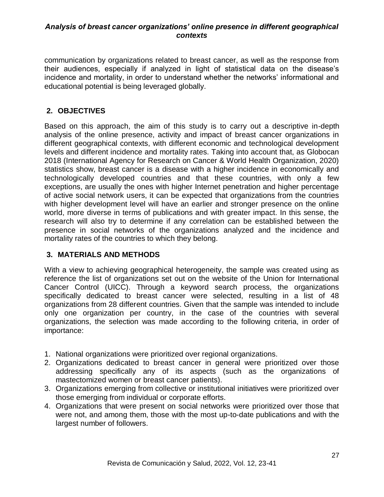communication by organizations related to breast cancer, as well as the response from their audiences, especially if analyzed in light of statistical data on the disease's incidence and mortality, in order to understand whether the networks' informational and educational potential is being leveraged globally.

# **2. OBJECTIVES**

Based on this approach, the aim of this study is to carry out a descriptive in-depth analysis of the online presence, activity and impact of breast cancer organizations in different geographical contexts, with different economic and technological development levels and different incidence and mortality rates. Taking into account that, as Globocan 2018 (International Agency for Research on Cancer & World Health Organization, 2020) statistics show, breast cancer is a disease with a higher incidence in economically and technologically developed countries and that these countries, with only a few exceptions, are usually the ones with higher Internet penetration and higher percentage of active social network users, it can be expected that organizations from the countries with higher development level will have an earlier and stronger presence on the online world, more diverse in terms of publications and with greater impact. In this sense, the research will also try to determine if any correlation can be established between the presence in social networks of the organizations analyzed and the incidence and mortality rates of the countries to which they belong.

## **3. MATERIALS AND METHODS**

With a view to achieving geographical heterogeneity, the sample was created using as reference the list of organizations set out on the website of the Union for International Cancer Control (UICC). Through a keyword search process, the organizations specifically dedicated to breast cancer were selected, resulting in a list of 48 organizations from 28 different countries. Given that the sample was intended to include only one organization per country, in the case of the countries with several organizations, the selection was made according to the following criteria, in order of importance:

- 1. National organizations were prioritized over regional organizations.
- 2. Organizations dedicated to breast cancer in general were prioritized over those addressing specifically any of its aspects (such as the organizations of mastectomized women or breast cancer patients).
- 3. Organizations emerging from collective or institutional initiatives were prioritized over those emerging from individual or corporate efforts.
- 4. Organizations that were present on social networks were prioritized over those that were not, and among them, those with the most up-to-date publications and with the largest number of followers.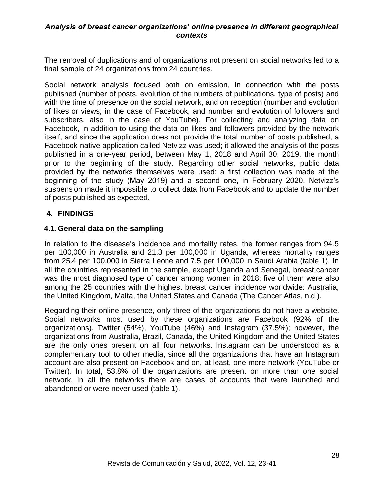The removal of duplications and of organizations not present on social networks led to a final sample of 24 organizations from 24 countries.

Social network analysis focused both on emission, in connection with the posts published (number of posts, evolution of the numbers of publications, type of posts) and with the time of presence on the social network, and on reception (number and evolution of likes or views, in the case of Facebook, and number and evolution of followers and subscribers, also in the case of YouTube). For collecting and analyzing data on Facebook, in addition to using the data on likes and followers provided by the network itself, and since the application does not provide the total number of posts published, a Facebook-native application called Netvizz was used; it allowed the analysis of the posts published in a one-year period, between May 1, 2018 and April 30, 2019, the month prior to the beginning of the study. Regarding other social networks, public data provided by the networks themselves were used; a first collection was made at the beginning of the study (May 2019) and a second one, in February 2020. Netvizz's suspension made it impossible to collect data from Facebook and to update the number of posts published as expected.

## **4. FINDINGS**

## **4.1.General data on the sampling**

In relation to the disease's incidence and mortality rates, the former ranges from 94.5 per 100,000 in Australia and 21.3 per 100,000 in Uganda, whereas mortality ranges from 25.4 per 100,000 in Sierra Leone and 7.5 per 100,000 in Saudi Arabia (table 1). In all the countries represented in the sample, except Uganda and Senegal, breast cancer was the most diagnosed type of cancer among women in 2018; five of them were also among the 25 countries with the highest breast cancer incidence worldwide: Australia, the United Kingdom, Malta, the United States and Canada (The Cancer Atlas, n.d.).

Regarding their online presence, only three of the organizations do not have a website. Social networks most used by these organizations are Facebook (92% of the organizations), Twitter (54%), YouTube (46%) and Instagram (37.5%); however, the organizations from Australia, Brazil, Canada, the United Kingdom and the United States are the only ones present on all four networks. Instagram can be understood as a complementary tool to other media, since all the organizations that have an Instagram account are also present on Facebook and on, at least, one more network (YouTube or Twitter). In total, 53.8% of the organizations are present on more than one social network. In all the networks there are cases of accounts that were launched and abandoned or were never used (table 1).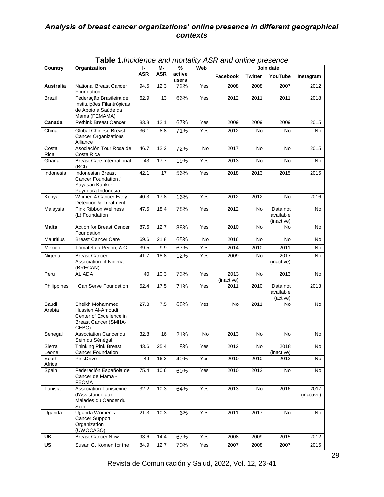| Country                   | Organization                                                                                            | ŀ          | M-   | %<br>Web        |     | Join date          |                |                                     |                    |  |
|---------------------------|---------------------------------------------------------------------------------------------------------|------------|------|-----------------|-----|--------------------|----------------|-------------------------------------|--------------------|--|
|                           |                                                                                                         | <b>ASR</b> | ASR  | active<br>users |     | Facebook           | <b>Twitter</b> | YouTube                             | Instagram          |  |
| Australia                 | <b>National Breast Cancer</b><br>Foundation                                                             | 94.5       | 12.3 | 72%             | Yes | 2008               | 2008           | 2007                                | 2012               |  |
| <b>Brazil</b>             | Federação Brasileira de<br>Instituições Filantrópicas<br>de Apoio à Saúde da<br>Mama (FEMAMA)           | 62.9       | 13   | 66%             | Yes | 2012               | 2011           | 2011                                | 2018               |  |
| Canada                    | <b>Rethink Breast Cancer</b>                                                                            | 83.8       | 12.1 | 67%             | Yes | 2009               | 2009           | 2009                                | 2015               |  |
| China                     | <b>Global Chinese Breast</b><br><b>Cancer Organizations</b><br>Alliance                                 | 36.1       | 8.8  | 71%             | Yes | 2012               | No             | No                                  | No                 |  |
| Costa<br>Rica             | Asociación Tour Rosa de<br>Costa Rica                                                                   | 46.7       | 12.2 | 72%             | No  | 2017               | No             | No                                  | 2015               |  |
| Ghana                     | <b>Breast Care International</b><br>(BCI)                                                               | 43         | 17.7 | 19%             | Yes | 2013               | No             | No                                  | No                 |  |
| Indonesia                 | <b>Indonesian Breast</b><br>Cancer Foundation /<br>Yayasan Kanker<br>Payudara Indonesia                 | 42.1       | 17   | 56%             | Yes | 2018               | 2013           | 2015                                | 2015               |  |
| Kenya                     | Women 4 Cancer Early<br>Detection & Treatment                                                           | 40.3       | 17.8 | 16%             | Yes | 2012               | 2012           | No                                  | 2016               |  |
| Malaysia                  | Pink Ribbon Wellness<br>(L) Foundation                                                                  | 47.5       | 18.4 | 78%             | Yes | 2012               | No             | Data not<br>available<br>(inactive) | No                 |  |
| Malta                     | Action for Breast Cancer<br>Foundation                                                                  | 87.6       | 12.7 | 88%             | Yes | 2010               | No             | No                                  | No                 |  |
| Mauritius                 | <b>Breast Cancer Care</b>                                                                               | 69.6       | 21.8 | 65%             | No  | 2016               | No             | No                                  | No                 |  |
| Mexico                    | Tómatelo a Pecho, A.C.                                                                                  | 39.5       | 9.9  | 67%             | Yes | 2014               | 2010           | 2011                                | No                 |  |
| Nigeria                   | <b>Breast Cancer</b><br>Association of Nigeria<br>(BRECAN)                                              | 41.7       | 18.8 | 12%             | Yes | 2009               | No             | 2017<br>(inactive)                  | No                 |  |
| Peru                      | <b>ALIADA</b>                                                                                           | 40         | 10.3 | 73%             | Yes | 2013<br>(inactive) | No             | 2013                                | No                 |  |
| Philippines               | I Can Serve Foundation                                                                                  | 52.4       | 17.5 | 71%             | Yes | 2011               | 2010           | Data not<br>available<br>(active)   | 2013               |  |
| Saudi<br>Arabia           | Sheikh Mohammed<br>Hussien Al-Amoudi<br>Center of Excellence in<br><b>Breast Cancer (SMHA-</b><br>CEBC) | 27.3       | 7.5  | 68%             | Yes | No                 | 2011           | No                                  | No                 |  |
| Senegal                   | Association Cancer du<br>Sein du Sénégal                                                                | 32.8       | 16   | 21%             | No  | 2013               | No             | No                                  | No                 |  |
| Sierra<br>Leone           | Thinking Pink Breast<br>Cancer Foundation                                                               | 43.6       | 25.4 | 8%              | Yes | 2012               | No             | 2018<br>(inactive)                  | No                 |  |
| South<br>Africa           | PinkDrive                                                                                               | 49         | 16.3 | 40%             | Yes | 2010               | 2010           | 2013                                | No                 |  |
| Spain                     | Federación Española de<br>Cancer de Mama -<br><b>FECMA</b>                                              | 75.4       | 10.6 | 60%             | Yes | 2010               | 2012           | No                                  | No                 |  |
| Tunisia                   | <b>Association Tunisienne</b><br>d'Assistance aux<br>Malades du Cancer du<br>Sein                       | 32.2       | 10.3 | 64%             | Yes | 2013               | No             | 2016                                | 2017<br>(inactive) |  |
| Uganda                    | Uganda Women's<br><b>Cancer Support</b><br>Organization<br>(UWOCASO)                                    | 21.3       | 10.3 | 6%              | Yes | 2011               | 2017           | No                                  | No                 |  |
| UK                        | <b>Breast Cancer Now</b>                                                                                | 93.6       | 14.4 | 67%             | Yes | 2008               | 2009           | 2015                                | 2012               |  |
| $\overline{\mathsf{u}}$ s | Susan G. Komen for the                                                                                  | 84.9       | 12.7 | 70%             | Yes | 2007               | 2008           | 2007                                | 2015               |  |

**Table 1.***Incidence and mortality ASR and online presence*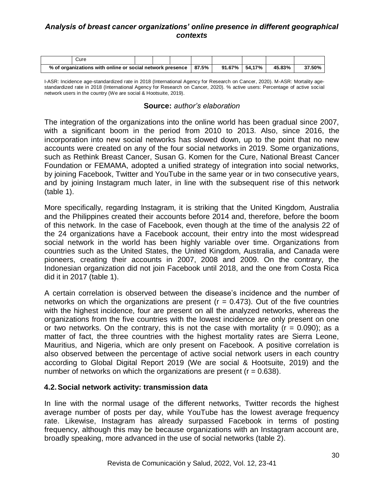|                                                           | ureٽ |  |  |       |                    |        |        |  |
|-----------------------------------------------------------|------|--|--|-------|--------------------|--------|--------|--|
| % of organizations with online or social network presence |      |  |  | 87.5% | $91.67\%$   54,17% | 45.83% | 37.50% |  |

I-ASR: Incidence age-standardized rate in 2018 (International Agency for Research on Cancer, 2020). M-ASR: Mortality agestandardized rate in 2018 (International Agency for Research on Cancer, 2020). % active users: Percentage of active social network users in the country (We are social & Hootsuite, 2019).

#### **Source:** *author's elaboration*

The integration of the organizations into the online world has been gradual since 2007, with a significant boom in the period from 2010 to 2013. Also, since 2016, the incorporation into new social networks has slowed down, up to the point that no new accounts were created on any of the four social networks in 2019. Some organizations, such as Rethink Breast Cancer, Susan G. Komen for the Cure, National Breast Cancer Foundation or FEMAMA, adopted a unified strategy of integration into social networks, by joining Facebook, Twitter and YouTube in the same year or in two consecutive years, and by joining Instagram much later, in line with the subsequent rise of this network (table 1).

More specifically, regarding Instagram, it is striking that the United Kingdom, Australia and the Philippines created their accounts before 2014 and, therefore, before the boom of this network. In the case of Facebook, even though at the time of the analysis 22 of the 24 organizations have a Facebook account, their entry into the most widespread social network in the world has been highly variable over time. Organizations from countries such as the United States, the United Kingdom, Australia, and Canada were pioneers, creating their accounts in 2007, 2008 and 2009. On the contrary, the Indonesian organization did not join Facebook until 2018, and the one from Costa Rica did it in 2017 (table 1).

A certain correlation is observed between the disease's incidence and the number of networks on which the organizations are present ( $r = 0.473$ ). Out of the five countries with the highest incidence, four are present on all the analyzed networks, whereas the organizations from the five countries with the lowest incidence are only present on one or two networks. On the contrary, this is not the case with mortality  $(r = 0.090)$ ; as a matter of fact, the three countries with the highest mortality rates are Sierra Leone, Mauritius, and Nigeria, which are only present on Facebook. A positive correlation is also observed between the percentage of active social network users in each country according to Global Digital Report 2019 (We are social & Hootsuite, 2019) and the number of networks on which the organizations are present  $(r = 0.638)$ .

## **4.2.Social network activity: transmission data**

In line with the normal usage of the different networks, Twitter records the highest average number of posts per day, while YouTube has the lowest average frequency rate. Likewise, Instagram has already surpassed Facebook in terms of posting frequency, although this may be because organizations with an Instagram account are, broadly speaking, more advanced in the use of social networks (table 2).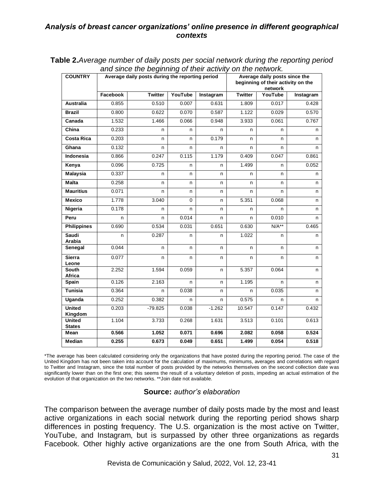| <b>COUNTRY</b>                            |          | Average daily posts during the reporting period |          |           | Average daily posts since the<br>beginning of their activity on the<br>network |         |           |  |  |
|-------------------------------------------|----------|-------------------------------------------------|----------|-----------|--------------------------------------------------------------------------------|---------|-----------|--|--|
|                                           | Facebook | <b>Twitter</b>                                  | YouTube  | Instagram | <b>Twitter</b>                                                                 | YouTube | Instagram |  |  |
| <b>Australia</b>                          | 0.855    | 0.510                                           | 0.007    | 0.631     | 1.809                                                                          | 0.017   | 0.428     |  |  |
| <b>Brazil</b>                             | 0.800    | 0.622                                           | 0.070    | 0.587     | 1.122                                                                          | 0.029   | 0.570     |  |  |
| Canada                                    | 1.532    | 1.466                                           | 0.066    | 0.948     | 3.933                                                                          | 0.061   | 0.767     |  |  |
| China                                     | 0.233    | n                                               | n        | n         | n                                                                              | n       | n         |  |  |
| <b>Costa Rica</b>                         | 0.203    | n                                               | n        | 0.179     | n                                                                              | n       | n         |  |  |
| Ghana                                     | 0.132    | n                                               | n        | n         | n                                                                              | n       | n         |  |  |
| Indonesia                                 | 0.866    | 0.247                                           | 0.115    | 1.179     | 0.409                                                                          | 0.047   | 0.861     |  |  |
| Kenya                                     | 0.096    | 0.725                                           | n        | n         | 1.499                                                                          | n       | 0.052     |  |  |
| <b>Malaysia</b>                           | 0.337    | n                                               | n        | n         | n                                                                              | n       | n         |  |  |
| <b>Malta</b>                              | 0.258    | n                                               | n        | n         | n                                                                              | n       | n         |  |  |
| <b>Mauritius</b>                          | 0.071    | n                                               | n        | n         | n                                                                              | n       | n         |  |  |
| <b>Mexico</b>                             | 1.778    | 3.040                                           | $\Omega$ | n         | 5.351                                                                          | 0.068   | n         |  |  |
| Nigeria                                   | 0.178    | n                                               | n        | n         | n                                                                              | n       | n         |  |  |
| Peru                                      | n        | n                                               | 0.014    | n         | n                                                                              | 0.010   | n         |  |  |
| <b>Philippines</b>                        | 0.690    | 0.534                                           | 0.031    | 0.651     | 0.630                                                                          | $N/A**$ | 0.465     |  |  |
| Saudi<br>Arabia                           | n        | 0.287                                           | n        | n         | 1.022                                                                          | n       | n         |  |  |
| Senegal                                   | 0.044    | n                                               | n        | n         | n.                                                                             | n       | n         |  |  |
| <b>Sierra</b><br>Leone                    | 0.077    | n                                               | n        | n         | n                                                                              | n.      | n         |  |  |
| <b>South</b><br>Africa                    | 2.252    | 1.594                                           | 0.059    | n         | 5.357                                                                          | 0.064   | n         |  |  |
| Spain                                     | 0.126    | 2.163                                           | n        | n         | 1.195                                                                          | n       | n         |  |  |
| <b>Tunisia</b>                            | 0.364    | n                                               | 0.038    | n         | n                                                                              | 0.035   | n         |  |  |
| Uganda                                    | 0.252    | 0.382                                           | n        | n         | 0.575                                                                          | n       | n         |  |  |
| <b>United</b>                             | 0.203    | $-79.825$                                       | 0.038    | $-1.262$  | 10.547                                                                         | 0.147   | 0.432     |  |  |
| Kingdom<br><b>United</b><br><b>States</b> | 1.104    | 3.733                                           | 0.268    | 1.631     | 3.513                                                                          | 0.101   | 0.613     |  |  |
| Mean                                      | 0.566    | 1.052                                           | 0.071    | 0.696     | 2.082                                                                          | 0.058   | 0.524     |  |  |
| Median                                    | 0.255    | 0.673                                           | 0.049    | 0.651     | 1.499                                                                          | 0.054   | 0.518     |  |  |

**Table 2.***Average number of daily posts per social network during the reporting period and since the beginning of their activity on the network.*

\*The average has been calculated considering only the organizations that have posted during the reporting period. The case of the United Kingdom has not been taken into account for the calculation of maximums, minimums, averages and correlations with regard to Twitter and Instagram, since the total number of posts provided by the networks themselves on the second collection date was significantly lower than on the first one; this seems the result of a voluntary deletion of posts, impeding an actual estimation of the evolution of that organization on the two networks. \*\*Join date not available.

## **Source:** *author's elaboration*

The comparison between the average number of daily posts made by the most and least active organizations in each social network during the reporting period shows sharp differences in posting frequency. The U.S. organization is the most active on Twitter, YouTube, and Instagram, but is surpassed by other three organizations as regards Facebook. Other highly active organizations are the one from South Africa, with the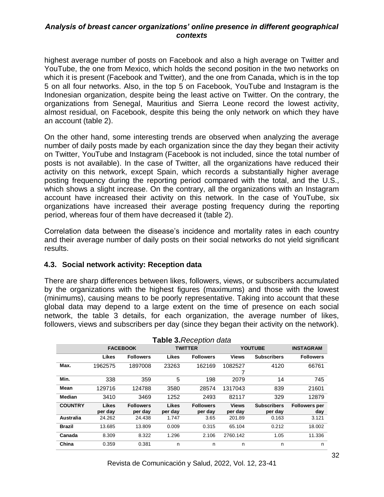highest average number of posts on Facebook and also a high average on Twitter and YouTube, the one from Mexico, which holds the second position in the two networks on which it is present (Facebook and Twitter), and the one from Canada, which is in the top 5 on all four networks. Also, in the top 5 on Facebook, YouTube and Instagram is the Indonesian organization, despite being the least active on Twitter. On the contrary, the organizations from Senegal, Mauritius and Sierra Leone record the lowest activity, almost residual, on Facebook, despite this being the only network on which they have an account (table 2).

On the other hand, some interesting trends are observed when analyzing the average number of daily posts made by each organization since the day they began their activity on Twitter, YouTube and Instagram (Facebook is not included, since the total number of posts is not available). In the case of Twitter, all the organizations have reduced their activity on this network, except Spain, which records a substantially higher average posting frequency during the reporting period compared with the total, and the U.S., which shows a slight increase. On the contrary, all the organizations with an Instagram account have increased their activity on this network. In the case of YouTube, six organizations have increased their average posting frequency during the reporting period, whereas four of them have decreased it (table 2).

Correlation data between the disease's incidence and mortality rates in each country and their average number of daily posts on their social networks do not yield significant results.

## **4.3. Social network activity: Reception data**

There are sharp differences between likes, followers, views, or subscribers accumulated by the organizations with the highest figures (maximums) and those with the lowest (minimums), causing means to be poorly representative. Taking into account that these global data may depend to a large extent on the time of presence on each social network, the table 3 details, for each organization, the average number of likes, followers, views and subscribers per day (since they began their activity on the network).

| Table 3. Reception data |                 |                  |         |                  |                |                    |                      |
|-------------------------|-----------------|------------------|---------|------------------|----------------|--------------------|----------------------|
|                         | <b>FACEBOOK</b> |                  |         | <b>TWITTER</b>   | <b>YOUTUBE</b> | <b>INSTAGRAM</b>   |                      |
|                         | Likes           | <b>Followers</b> | Likes   | <b>Followers</b> | <b>Views</b>   | <b>Subscribers</b> | <b>Followers</b>     |
| Max.                    | 1962575         | 1897008          | 23263   | 162169           | 1082527        | 4120               | 66761                |
|                         |                 |                  |         |                  | 7              |                    |                      |
| Min.                    | 338             | 359              | 5       | 198              | 2079           | 14                 | 745                  |
| Mean                    | 129716          | 124788           | 3580    | 28574            | 1317043        | 839                | 21601                |
| Median                  | 3410            | 3469             | 1252    | 2493             | 82117          | 329                | 12879                |
| <b>COUNTRY</b>          | <b>Likes</b>    | <b>Followers</b> | Likes   | <b>Followers</b> | <b>Views</b>   | <b>Subscribers</b> | <b>Followers per</b> |
|                         | per day         | per dav          | per day | per day          | per day        | per day            | day                  |
| Australia               | 24.262          | 24.438           | 1.747   | 3.65             | 201.89         | 0.163              | 3.121                |
| <b>Brazil</b>           | 13.685          | 13.809           | 0.009   | 0.315            | 65.104         | 0.212              | 18.002               |
| Canada                  | 8.309           | 8.322            | 1.296   | 2.106            | 2760.142       | 1.05               | 11.336               |
| China                   | 0.359           | 0.381            | n       | n                | n              | n                  | n                    |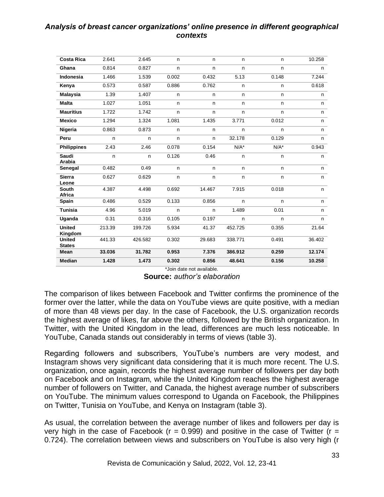| <b>Costa Rica</b>              | 2.641  | 2.645   | n.    | n.     | n.      | n       | 10.258 |
|--------------------------------|--------|---------|-------|--------|---------|---------|--------|
| Ghana                          | 0.814  | 0.827   | n     | n      | n       | n       | n      |
| <b>Indonesia</b>               | 1.466  | 1.539   | 0.002 | 0.432  | 5.13    | 0.148   | 7.244  |
| Kenya                          | 0.573  | 0.587   | 0.886 | 0.762  | n       | n       | 0.618  |
| <b>Malaysia</b>                | 1.39   | 1.407   | n.    | n.     | n       | n       | n      |
| <b>Malta</b>                   | 1.027  | 1.051   | n     | n      | n       | n       | n      |
| <b>Mauritius</b>               | 1.722  | 1.742   | n     | n      | n       | n       | n      |
| <b>Mexico</b>                  | 1.294  | 1.324   | 1.081 | 1.435  | 3.771   | 0.012   | n.     |
| Nigeria                        | 0.863  | 0.873   | n     | n      | n       | n       | n      |
| Peru                           | n.     | n.      | n     | n.     | 32.178  | 0.129   | n.     |
| <b>Philippines</b>             | 2.43   | 2.46    | 0.078 | 0.154  | $N/A^*$ | $N/A^*$ | 0.943  |
| <b>Saudi</b><br>Arabia         | n.     | n       | 0.126 | 0.46   | n       | n       | n.     |
| Senegal                        | 0.482  | 0.49    | n     | n      | n       | n       | n      |
| <b>Sierra</b><br>Leone         | 0.627  | 0.629   | n     | n      | n       | n       | n      |
| <b>South</b><br>Africa         | 4.387  | 4.498   | 0.692 | 14.467 | 7.915   | 0.018   | n      |
| Spain                          | 0.486  | 0.529   | 0.133 | 0.856  | n       | n       | n.     |
| <b>Tunisia</b>                 | 4.96   | 5.019   | n     | n.     | 1.489   | 0.01    | n      |
| Uganda                         | 0.31   | 0.316   | 0.105 | 0.197  | n       | n       | n      |
| <b>United</b><br>Kingdom       | 213.39 | 199.726 | 5.934 | 41.37  | 452.725 | 0.355   | 21.64  |
| <b>United</b><br><b>States</b> | 441.33 | 426.582 | 0.302 | 29.683 | 338.771 | 0.491   | 36.402 |
| Mean                           | 33.036 | 31.782  | 0.953 | 7.376  | 386.912 | 0.259   | 12.174 |
| <b>Median</b>                  | 1.428  | 1.473   | 0.302 | 0.856  | 48.641  | 0.156   | 10.258 |

\*Join date not available. **Source:** *author's elaboration*

The comparison of likes between Facebook and Twitter confirms the prominence of the former over the latter, while the data on YouTube views are quite positive, with a median of more than 48 views per day. In the case of Facebook, the U.S. organization records the highest average of likes, far above the others, followed by the British organization. In Twitter, with the United Kingdom in the lead, differences are much less noticeable. In YouTube, Canada stands out considerably in terms of views (table 3).

Regarding followers and subscribers, YouTube's numbers are very modest, and Instagram shows very significant data considering that it is much more recent. The U.S. organization, once again, records the highest average number of followers per day both on Facebook and on Instagram, while the United Kingdom reaches the highest average number of followers on Twitter, and Canada, the highest average number of subscribers on YouTube. The minimum values correspond to Uganda on Facebook, the Philippines on Twitter, Tunisia on YouTube, and Kenya on Instagram (table 3).

As usual, the correlation between the average number of likes and followers per day is very high in the case of Facebook ( $r = 0.999$ ) and positive in the case of Twitter ( $r =$ 0.724). The correlation between views and subscribers on YouTube is also very high (r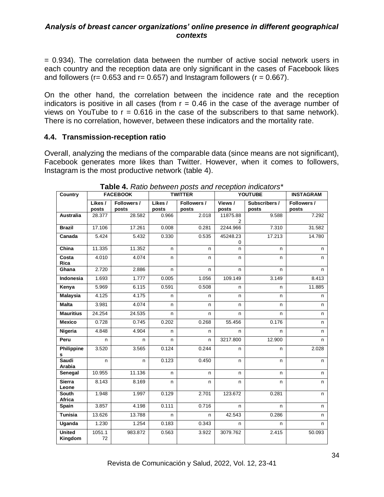= 0.934). The correlation data between the number of active social network users in each country and the reception data are only significant in the cases of Facebook likes and followers ( $r = 0.653$  and  $r = 0.657$ ) and Instagram followers ( $r = 0.667$ ).

On the other hand, the correlation between the incidence rate and the reception indicators is positive in all cases (from  $r = 0.46$  in the case of the average number of views on YouTube to  $r = 0.616$  in the case of the subscribers to that same network). There is no correlation, however, between these indicators and the mortality rate.

## **4.4. Transmission-reception ratio**

Overall, analyzing the medians of the comparable data (since means are not significant), Facebook generates more likes than Twitter. However, when it comes to followers, Instagram is the most productive network (table 4).

| Country                  |                  | <b>FACEBOOK</b>      |                  | <b>TWITTER</b>       |                  | <b>YOUTUBE</b>         |                      |  |
|--------------------------|------------------|----------------------|------------------|----------------------|------------------|------------------------|----------------------|--|
|                          | Likes /<br>posts | Followers /<br>posts | Likes /<br>posts | Followers /<br>posts | Views /<br>posts | Subscribers /<br>posts | Followers /<br>posts |  |
| <b>Australia</b>         | 28.377           | 28.582               | 0.966            | 2.018                | 11875.88<br>2    | 9.588                  | 7.292                |  |
| <b>Brazil</b>            | 17.106           | 17.261               | 0.008            | 0.281                | 2244.966         | 7.310                  | 31.582               |  |
| Canada                   | 5.424            | 5.432                | 0.330            | 0.535                | 45248.23<br>0    | 17.213                 | 14.780               |  |
| China                    | 11.335           | 11.352               | n                | n                    | n                | n                      | n                    |  |
| Costa<br>Rica            | 4.010            | 4.074                | n                | n                    | n                | n                      | n                    |  |
| Ghana                    | 2.720            | 2.886                | n                | n                    | n                | n.                     | n                    |  |
| <b>Indonesia</b>         | 1.693            | 1.777                | 0.005            | 1.056                | 109.149          | 3.149                  | 8.413                |  |
| Kenya                    | 5.969            | 6.115                | 0.591            | 0.508                | n                | n                      | 11.885               |  |
| <b>Malaysia</b>          | 4.125            | 4.175                | n                | n                    | n                | n                      | n                    |  |
| <b>Malta</b>             | 3.981            | 4.074                | n.               | n                    | n                | n                      | n                    |  |
| <b>Mauritius</b>         | 24.254           | 24.535               | n                | n                    | n                | n                      | n                    |  |
| <b>Mexico</b>            | 0.728            | 0.745                | 0.202            | 0.268                | 55.456           | 0.176                  | n.                   |  |
| Nigeria                  | 4.848            | 4.904                | n                | n                    | n                | n                      | n                    |  |
| Peru                     | n                | n                    | n                | n                    | 3217.800         | 12.900                 | n                    |  |
| Philippine<br>s          | 3.520            | 3.565                | 0.124            | 0.244                | n                | n                      | 2.028                |  |
| Saudi<br>Arabia          | n                | n                    | 0.123            | 0.450                | n                | n                      | n                    |  |
| Senegal                  | 10.955           | 11.136               | n.               | n                    | n.               | n.                     | n.                   |  |
| <b>Sierra</b><br>Leone   | 8.143            | 8.169                | n.               | n                    | n                | n                      | n                    |  |
| <b>South</b><br>Africa   | 1.948            | 1.997                | 0.129            | 2.701                | 123.672          | 0.281                  | n                    |  |
| Spain                    | 3.857            | 4.198                | 0.111            | 0.716                | n.               | n.                     | n                    |  |
| <b>Tunisia</b>           | 13.626           | 13.788               | n                | n                    | 42.543           | 0.286                  | n                    |  |
| Uganda                   | 1.230            | 1.254                | 0.183            | 0.343                | n                | n                      | n                    |  |
| <b>United</b><br>Kingdom | 1051.1<br>72     | 983.872              | 0.563            | 3.922                | 3079.762         | 2.415                  | 50.093               |  |

#### **Table 4.** *Ratio between posts and reception indicators\**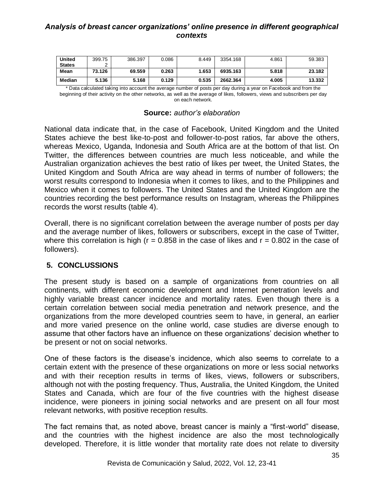| <b>United</b> | 399.75 | 386.397 | 0.086 | 8.449 | 3354.168 | 4.861 | 59.383 |
|---------------|--------|---------|-------|-------|----------|-------|--------|
| <b>States</b> |        |         |       |       |          |       |        |
| Mean          | 73.126 | 69.559  | 0.263 | 1.653 | 6935.163 | 5.818 | 23.182 |
| Median        | 5.136  | 5.168   | 0.129 | 0.535 | 2662.364 | 4.005 | 13.332 |

\* Data calculated taking into account the average number of posts per day during a year on Facebook and from the beginning of their activity on the other networks, as well as the average of likes, followers, views and subscribers per day on each network.

|  |  | <b>Source: author's elaboration</b> |
|--|--|-------------------------------------|
|--|--|-------------------------------------|

National data indicate that, in the case of Facebook, United Kingdom and the United States achieve the best like-to-post and follower-to-post ratios, far above the others, whereas Mexico, Uganda, Indonesia and South Africa are at the bottom of that list. On Twitter, the differences between countries are much less noticeable, and while the Australian organization achieves the best ratio of likes per tweet, the United States, the United Kingdom and South Africa are way ahead in terms of number of followers; the worst results correspond to Indonesia when it comes to likes, and to the Philippines and Mexico when it comes to followers. The United States and the United Kingdom are the countries recording the best performance results on Instagram, whereas the Philippines records the worst results (table 4).

Overall, there is no significant correlation between the average number of posts per day and the average number of likes, followers or subscribers, except in the case of Twitter, where this correlation is high ( $r = 0.858$  in the case of likes and  $r = 0.802$  in the case of followers).

## **5. CONCLUSSIONS**

The present study is based on a sample of organizations from countries on all continents, with different economic development and Internet penetration levels and highly variable breast cancer incidence and mortality rates. Even though there is a certain correlation between social media penetration and network presence, and the organizations from the more developed countries seem to have, in general, an earlier and more varied presence on the online world, case studies are diverse enough to assume that other factors have an influence on these organizations' decision whether to be present or not on social networks.

One of these factors is the disease's incidence, which also seems to correlate to a certain extent with the presence of these organizations on more or less social networks and with their reception results in terms of likes, views, followers or subscribers, although not with the posting frequency. Thus, Australia, the United Kingdom, the United States and Canada, which are four of the five countries with the highest disease incidence, were pioneers in joining social networks and are present on all four most relevant networks, with positive reception results.

The fact remains that, as noted above, breast cancer is mainly a "first-world" disease, and the countries with the highest incidence are also the most technologically developed. Therefore, it is little wonder that mortality rate does not relate to diversity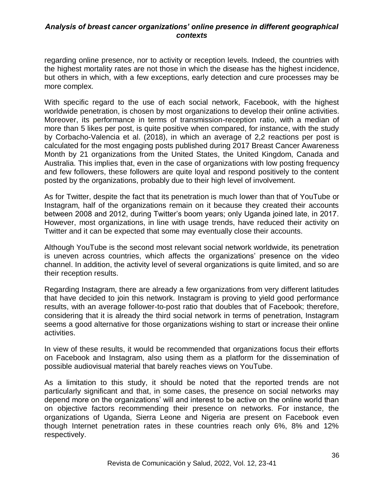regarding online presence, nor to activity or reception levels. Indeed, the countries with the highest mortality rates are not those in which the disease has the highest incidence, but others in which, with a few exceptions, early detection and cure processes may be more complex.

With specific regard to the use of each social network, Facebook, with the highest worldwide penetration, is chosen by most organizations to develop their online activities. Moreover, its performance in terms of transmission-reception ratio, with a median of more than 5 likes per post, is quite positive when compared, for instance, with the study by Corbacho-Valencia et al. (2018), in which an average of 2,2 reactions per post is calculated for the most engaging posts published during 2017 Breast Cancer Awareness Month by 21 organizations from the United States, the United Kingdom, Canada and Australia. This implies that, even in the case of organizations with low posting frequency and few followers, these followers are quite loyal and respond positively to the content posted by the organizations, probably due to their high level of involvement.

As for Twitter, despite the fact that its penetration is much lower than that of YouTube or Instagram, half of the organizations remain on it because they created their accounts between 2008 and 2012, during Twitter's boom years; only Uganda joined late, in 2017. However, most organizations, in line with usage trends, have reduced their activity on Twitter and it can be expected that some may eventually close their accounts.

Although YouTube is the second most relevant social network worldwide, its penetration is uneven across countries, which affects the organizations' presence on the video channel. In addition, the activity level of several organizations is quite limited, and so are their reception results.

Regarding Instagram, there are already a few organizations from very different latitudes that have decided to join this network. Instagram is proving to yield good performance results, with an average follower-to-post ratio that doubles that of Facebook; therefore, considering that it is already the third social network in terms of penetration, Instagram seems a good alternative for those organizations wishing to start or increase their online activities.

In view of these results, it would be recommended that organizations focus their efforts on Facebook and Instagram, also using them as a platform for the dissemination of possible audiovisual material that barely reaches views on YouTube.

As a limitation to this study, it should be noted that the reported trends are not particularly significant and that, in some cases, the presence on social networks may depend more on the organizations' will and interest to be active on the online world than on objective factors recommending their presence on networks. For instance, the organizations of Uganda, Sierra Leone and Nigeria are present on Facebook even though Internet penetration rates in these countries reach only 6%, 8% and 12% respectively.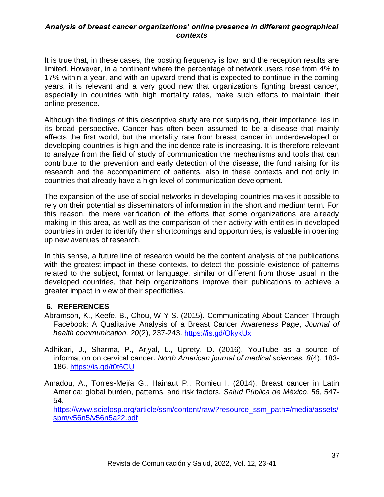It is true that, in these cases, the posting frequency is low, and the reception results are limited. However, in a continent where the percentage of network users rose from 4% to 17% within a year, and with an upward trend that is expected to continue in the coming years, it is relevant and a very good new that organizations fighting breast cancer, especially in countries with high mortality rates, make such efforts to maintain their online presence.

Although the findings of this descriptive study are not surprising, their importance lies in its broad perspective. Cancer has often been assumed to be a disease that mainly affects the first world, but the mortality rate from breast cancer in underdeveloped or developing countries is high and the incidence rate is increasing. It is therefore relevant to analyze from the field of study of communication the mechanisms and tools that can contribute to the prevention and early detection of the disease, the fund raising for its research and the accompaniment of patients, also in these contexts and not only in countries that already have a high level of communication development.

The expansion of the use of social networks in developing countries makes it possible to rely on their potential as disseminators of information in the short and medium term. For this reason, the mere verification of the efforts that some organizations are already making in this area, as well as the comparison of their activity with entities in developed countries in order to identify their shortcomings and opportunities, is valuable in opening up new avenues of research.

In this sense, a future line of research would be the content analysis of the publications with the greatest impact in these contexts, to detect the possible existence of patterns related to the subject, format or language, similar or different from those usual in the developed countries, that help organizations improve their publications to achieve a greater impact in view of their specificities.

# **6. REFERENCES**

- Abramson, K., Keefe, B., Chou, W-Y-S. (2015). Communicating About Cancer Through Facebook: A Qualitative Analysis of a Breast Cancer Awareness Page, *Journal of health communication, 20*(2), 237-243.<https://is.gd/OkykUx>
- Adhikari, J., Sharma, P., Arjyal, L., Uprety, D. (2016). YouTube as a source of information on cervical cancer. *North American journal of medical sciences, 8*(4), 183- 186.<https://is.gd/t0t6GU>
- Amadou, A., Torres-Mejía G., Hainaut P., Romieu I. (2014). Breast cancer in Latin America: global burden, patterns, and risk factors. *Salud Pública de México*, *56*, 547- 54.

[https://www.scielosp.org/article/ssm/content/raw/?resource\\_ssm\\_path=/media/assets/](https://www.scielosp.org/article/ssm/content/raw/?resource_ssm_path=/media/assets/spm/v56n5/v56n5a22.pdf) [spm/v56n5/v56n5a22.pdf](https://www.scielosp.org/article/ssm/content/raw/?resource_ssm_path=/media/assets/spm/v56n5/v56n5a22.pdf)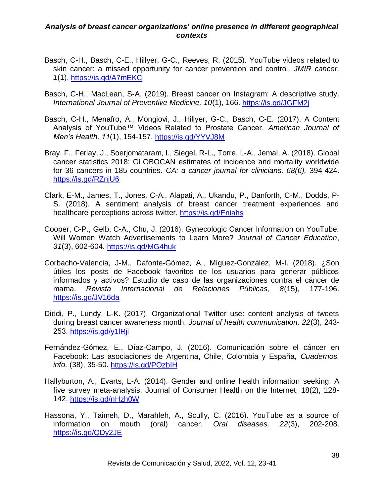- Basch, C-H., Basch, C-E., Hillyer, G-C., Reeves, R. (2015). YouTube videos related to skin cancer: a missed opportunity for cancer prevention and control. *JMIR cancer, 1*(1). <https://is.gd/A7mEKC>
- Basch, C-H., MacLean, S-A. (2019). Breast cancer on Instagram: A descriptive study. *International Journal of Preventive Medicine, 10*(1), 166.<https://is.gd/JGFM2j>
- Basch, C-H., Menafro, A., Mongiovi, J., Hillyer, G-C., Basch, C-E. (2017). A Content Analysis of YouTube™ Videos Related to Prostate Cancer. *American Journal of Men's Health, 11*(1), 154-157.<https://is.gd/YYVJ8M>
- Bray, F., Ferlay, J., Soerjomataram, I., Siegel, R-L., Torre, L-A., Jemal, A. (2018). Global cancer statistics 2018: GLOBOCAN estimates of incidence and mortality worldwide for 36 cancers in 185 countries. *CA: a cancer journal for clinicians, 68(6),* 394-424. <https://is.gd/RZnjU6>
- Clark, E-M., James, T., Jones, C-A., Alapati, A., Ukandu, P., Danforth, C-M., Dodds, P-S. (2018). A sentiment analysis of breast cancer treatment experiences and healthcare perceptions across twitter. <https://is.gd/Eniahs>
- Cooper, C-P., Gelb, C-A., Chu, J. (2016). Gynecologic Cancer Information on YouTube: Will Women Watch Advertisements to Learn More? *Journal of Cancer Education*, *31*(3), 602-604.<https://is.gd/MG4huk>
- Corbacho-Valencia, J-M., Dafonte-Gómez, A., Míguez-González, M-I. (2018). ¿Son útiles los posts de Facebook favoritos de los usuarios para generar públicos informados y activos? Estudio de caso de las organizaciones contra el cáncer de mama. *Revista Internacional de Relaciones Públicas, 8*(15), 177-196. <https://is.gd/JV16da>
- Diddi, P., Lundy, L-K. (2017). Organizational Twitter use: content analysis of tweets during breast cancer awareness month. *Journal of health communication, 22*(3), 243- 253.<https://is.gd/y1lRji>
- Fernández-Gómez, E., Díaz-Campo, J. (2016). Comunicación sobre el cáncer en Facebook: Las asociaciones de Argentina, Chile, Colombia y España, *Cuadernos. info,* (38), 35-50.<https://is.gd/POzbIH>
- Hallyburton, A., Evarts, L-A. (2014). Gender and online health information seeking: A five survey meta-analysis. Journal of Consumer Health on the Internet, 18(2), 128- 142.<https://is.gd/nHzh0W>
- Hassona, Y., Taimeh, D., Marahleh, A., Scully, C. (2016). YouTube as a source of information on mouth (oral) cancer. *Oral diseases, 22*(3), 202-208. <https://is.gd/QDy2JE>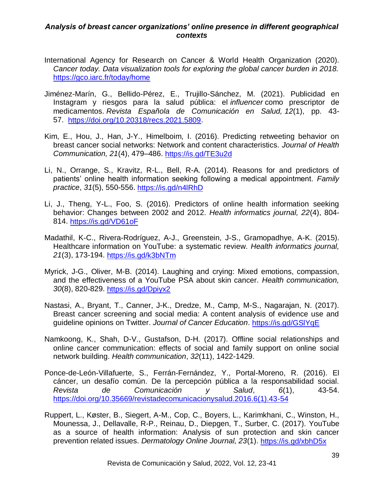- International Agency for Research on Cancer & World Health Organization (2020). *Cancer today. Data visualization tools for exploring the global cancer burden in 2018.*  <https://gco.iarc.fr/today/home>
- Jiménez-Marín, G., Bellido-Pérez, E., Trujillo-Sánchez, M. (2021). Publicidad en Instagram y riesgos para la salud pública: el *influencer* como prescriptor de medicamentos. *Revista Española de Comunicación en Salud, 12*(1), pp. 43- 57. [https://doi.org/10.20318/recs.2021.5809.](https://doi.org/10.20318/recs.2021.5809)
- Kim, E., Hou, J., Han, J-Y., Himelboim, I. (2016). Predicting retweeting behavior on breast cancer social networks: Network and content characteristics. *Journal of Health Communication, 21*(4), 479–486.<https://is.gd/TE3u2d>
- Li, N., Orrange, S., Kravitz, R-L., Bell, R-A. (2014). Reasons for and predictors of patients' online health information seeking following a medical appointment. *Family practice*, *31*(5), 550-556.<https://is.gd/n4lRhD>
- Li, J., Theng, Y-L., Foo, S. (2016). Predictors of online health information seeking behavior: Changes between 2002 and 2012. *Health informatics journal, 22*(4), 804- 814.<https://is.gd/VD61oF>
- Madathil, K-C., Rivera-Rodríguez, A-J., Greenstein, J-S., Gramopadhye, A-K. (2015). Healthcare information on YouTube: a systematic review. *Health informatics journal, 21*(3), 173-194.<https://is.gd/k3bNTm>
- Myrick, J-G., Oliver, M-B. (2014). Laughing and crying: Mixed emotions, compassion, and the effectiveness of a YouTube PSA about skin cancer. *Health communication, 30*(8), 820-829.<https://is.gd/Dpiyx2>
- Nastasi, A., Bryant, T., Canner, J-K., Dredze, M., Camp, M-S., Nagarajan, N. (2017). Breast cancer screening and social media: A content analysis of evidence use and guideline opinions on Twitter. *Journal of Cancer Education*.<https://is.gd/GSlYqE>
- Namkoong, K., Shah, D-V., Gustafson, D-H. (2017). Offline social relationships and online cancer communication: effects of social and family support on online social network building. *Health communication*, *32*(11), 1422-1429.
- Ponce-de-León-Villafuerte, S., Ferrán-Fernández, Y., Portal-Moreno, R. (2016). El cáncer, un desafío común. De la percepción pública a la responsabilidad social. *Revista de Comunicación y Salud*, *6*(1), 43-54. [https://doi.org/10.35669/revistadecomunicacionysalud.2016.6\(1\).43-54](https://doi.org/10.35669/revistadecomunicacionysalud.2016.6(1).43-54)
- Ruppert, L., Køster, B., Siegert, A-M., Cop, C., Boyers, L., Karimkhani, C., Winston, H., Mounessa, J., Dellavalle, R-P., Reinau, D., Diepgen, T., Surber, C. (2017). YouTube as a source of health information: Analysis of sun protection and skin cancer prevention related issues. *Dermatology Online Journal, 23*(1). <https://is.gd/xbhD5x>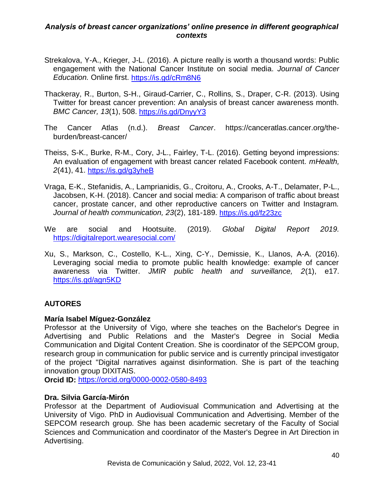- Strekalova, Y-A., Krieger, J-L. (2016). A picture really is worth a thousand words: Public engagement with the National Cancer Institute on social media. *Journal of Cancer Education.* Online first.<https://is.gd/cRm8N6>
- Thackeray, R., Burton, S-H., Giraud-Carrier, C., Rollins, S., Draper, C-R. (2013). Using Twitter for breast cancer prevention: An analysis of breast cancer awareness month. *BMC Cancer, 13*(1), 508.<https://is.gd/DnyyY3>
- The Cancer Atlas (n.d.). *Breast Cancer*. https://canceratlas.cancer.org/theburden/breast-cancer/
- Theiss, S-K., Burke, R-M., Cory, J-L., Fairley, T-L. (2016). Getting beyond impressions: An evaluation of engagement with breast cancer related Facebook content. *mHealth, 2*(41), 41.<https://is.gd/g3yheB>
- Vraga, E-K., Stefanidis, A., Lamprianidis, G., Croitoru, A., Crooks, A-T., Delamater, P-L., Jacobsen, K-H. (2018). Cancer and social media: A comparison of traffic about breast cancer, prostate cancer, and other reproductive cancers on Twitter and Instagram. *Journal of health communication, 23*(2), 181-189.<https://is.gd/fz23zc>
- We are social and Hootsuite. (2019). *Global Digital Report 2019.* <https://digitalreport.wearesocial.com/>
- Xu, S., Markson, C., Costello, K-L., Xing, C-Y., Demissie, K., Llanos, A-A. (2016). Leveraging social media to promote public health knowledge: example of cancer awareness via Twitter. *JMIR public health and surveillance, 2*(1), e17. <https://is.gd/agn5KD>

# **AUTORES**

## **María Isabel Míguez-González**

Professor at the University of Vigo, where she teaches on the Bachelor's Degree in Advertising and Public Relations and the Master's Degree in Social Media Communication and Digital Content Creation. She is coordinator of the SEPCOM group, research group in communication for public service and is currently principal investigator of the project "Digital narratives against disinformation. She is part of the teaching innovation group DIXITAIS.

**Orcid ID:** <https://orcid.org/0000-0002-0580-8493>

## **Dra. Silvia García-Mirón**

Professor at the Department of Audiovisual Communication and Advertising at the University of Vigo. PhD in Audiovisual Communication and Advertising. Member of the SEPCOM research group. She has been academic secretary of the Faculty of Social Sciences and Communication and coordinator of the Master's Degree in Art Direction in Advertising.